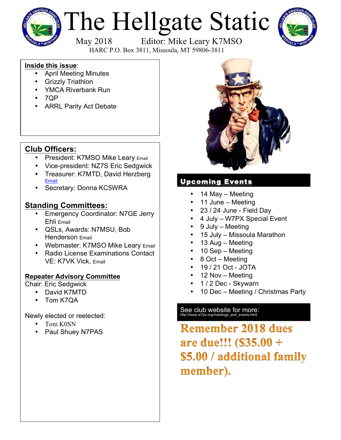

# The Hellgate Static



May 2018 Editor: Mike Leary K7MSO

HARC P.O. Box 3811, Missoula, MT 59806-3811

#### **Inside this issue**:

- April Meeting Minutes
- Grizzly Triathlon
- YMCA Riverbank Run
- 7QP
- ARRL Parity Act Debate

# **Club Officers:**

- President: K7MSO Mike Leary Email
- Vice-president: NZ7S Eric Sedgwick
- Treasurer: K7MTD, David Herzberg Email
- Secretary: Donna KC5WRA

# **Standing Committees:**

- Emergency Coordinator: N7GE Jerry Ehli Email
- QSLs, Awards: N7MSU, Bob Henderson Email
- Webmaster: K7MSO Mike Leary Email
- Radio License Examinations Contact VE: K7VK Vick, Email

### **Repeater Advisory Committee**

Chair: Eric Sedgwick

- David K7MTD
- Tom K7QA

Newly elected or reelected:

- Tom K0SN
- Paul Shuey N7PAS



# Upcoming Events

- 14 May Meeting
- 11 June Meeting
- 23 / 24 June Field Day
- 4 July W7PX Special Event
- 9 July Meeting
- 15 July Missoula Marathon
- 13 Aug Meeting
- 10 Sep Meeting
- 8 Oct Meeting
- 19 / 21 Oct JOTA
- 12 Nov Meeting
- 1 / 2 Dec Skywarn
- 10 Dec Meeting / Christmas Party

# See club website for more:<br>http://www.w7px.org/meetings\_and\_events.html

**Remember 2018 dues** are due!!! (\$35.00 + \$5.00 / additional family member).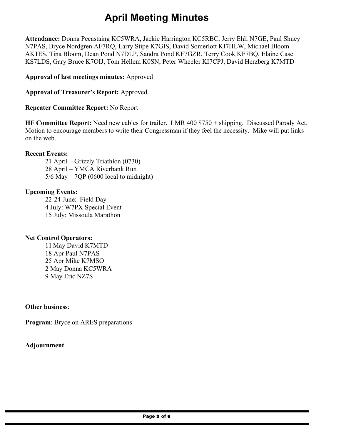# **April Meeting Minutes**

**Attendance:** Donna Pecastaing KC5WRA, Jackie Harrington KC5RBC, Jerry Ehli N7GE, Paul Shuey N7PAS, Bryce Nordgren AF7RQ, Larry Stipe K7GIS, David Somerlott KI7HLW, Michael Bloom AK1ES, Tina Bloom, Dean Pond N7DLP, Sandra Pond KF7GZR, Terry Cook KF7BQ, Elaine Case KS7LDS, Gary Bruce K7OIJ, Tom Hellem K0SN, Peter Wheeler KI7CPJ, David Herzberg K7MTD

**Approval of last meetings minutes:** Approved

**Approval of Treasurer's Report:** Approved.

**Repeater Committee Report:** No Report

**HF Committee Report:** Need new cables for trailer. LMR 400 \$750 + shipping. Discussed Parody Act. Motion to encourage members to write their Congressman if they feel the necessity. Mike will put links on the web.

#### **Recent Events:**

21 April – Grizzly Triathlon (0730) 28 April – YMCA Riverbank Run 5/6 May – 7QP (0600 local to midnight)

#### **Upcoming Events:**

22-24 June: Field Day 4 July: W7PX Special Event 15 July: Missoula Marathon

#### **Net Control Operators:**

11 May David K7MTD 18 Apr Paul N7PAS 25 Apr Mike K7MSO 2 May Donna KC5WRA 9 May Eric NZ7S

**Other business**:

**Program**: Bryce on ARES preparations

#### **Adjournment**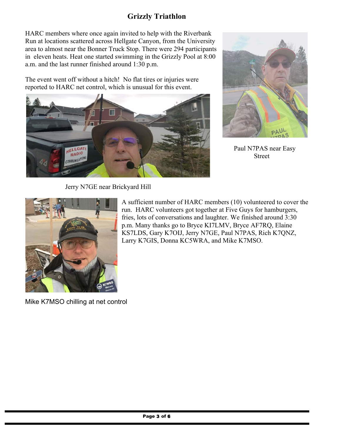## **Grizzly Triathlon**

HARC members where once again invited to help with the Riverbank Run at locations scattered across Hellgate Canyon, from the University area to almost near the Bonner Truck Stop. There were 294 participants in eleven heats. Heat one started swimming in the Grizzly Pool at 8:00 a.m. and the last runner finished around 1:30 p.m.

The event went off without a hitch! No flat tires or injuries were reported to HARC net control, which is unusual for this event.





Paul N7PAS near Easy Street

Jerry N7GE near Brickyard Hill



Mike K7MSO chilling at net control

A sufficient number of HARC members (10) volunteered to cover the run. HARC volunteers got together at Five Guys for hamburgers, fries, lots of conversations and laughter. We finished around 3:30 p.m. Many thanks go to Bryce KI7LMV, Bryce AF7RQ, Elaine KS7LDS, Gary K7OIJ, Jerry N7GE, Paul N7PAS, Rich K7QNZ, Larry K7GIS, Donna KC5WRA, and Mike K7MSO.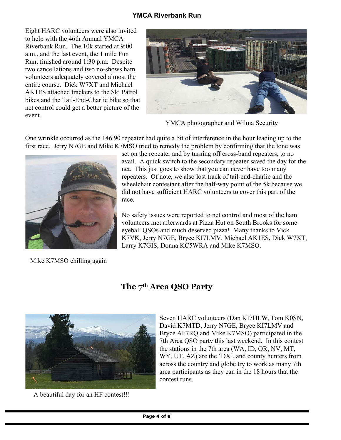#### **YMCA Riverbank Run**

Eight HARC volunteers were also invited to help with the 46th Annual YMCA Riverbank Run. The 10k started at 9:00 a.m., and the last event, the 1 mile Fun Run, finished around 1:30 p.m. Despite two cancellations and two no-shows ham volunteers adequately covered almost the entire course. Dick W7XT and Michael AK1ES attached trackers to the Ski Patrol bikes and the Tail-End-Charlie bike so that net control could get a better picture of the event.



YMCA photographer and Wilma Security

One wrinkle occurred as the 146.90 repeater had quite a bit of interference in the hour leading up to the first race. Jerry N7GE and Mike K7MSO tried to remedy the problem by confirming that the tone was



set on the repeater and by turning off cross-band repeaters, to no avail. A quick switch to the secondary repeater saved the day for the net. This just goes to show that you can never have too many repeaters. Of note, we also lost track of tail-end-charlie and the wheelchair contestant after the half-way point of the 5k because we did not have sufficient HARC volunteers to cover this part of the race.

No safety issues were reported to net control and most of the ham volunteers met afterwards at Pizza Hut on South Brooks for some eyeball QSOs and much deserved pizza! Many thanks to Vick K7VK, Jerry N7GE, Bryce KI7LMV, Michael AK1ES, Dick W7XT, Larry K7GIS, Donna KC5WRA and Mike K7MSO.

Mike K7MSO chilling again



A beautiful day for an HF contest!!!

# **The 7th Area QSO Party**

Seven HARC volunteers (Dan KI7HLW, Tom K0SN, David K7MTD, Jerry N7GE, Bryce KI7LMV and Bryce AF7RQ and Mike K7MSO) participated in the 7th Area QSO party this last weekend. In this contest the stations in the 7th area (WA, ID, OR, NV, MT, WY, UT, AZ) are the 'DX', and county hunters from across the country and globe try to work as many 7th area participants as they can in the 18 hours that the contest runs.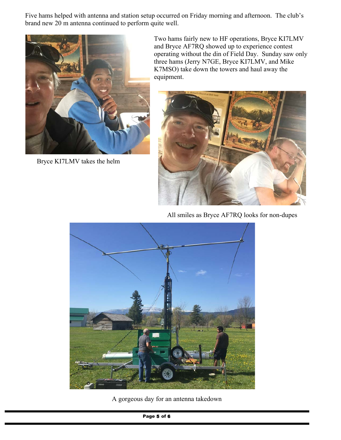Five hams helped with antenna and station setup occurred on Friday morning and afternoon. The club's brand new 20 m antenna continued to perform quite well.



Bryce KI7LMV takes the helm

Two hams fairly new to HF operations, Bryce KI7LMV and Bryce AF7RQ showed up to experience contest operating without the din of Field Day. Sunday saw only three hams (Jerry N7GE, Bryce KI7LMV, and Mike K7MSO) take down the towers and haul away the equipment.



All smiles as Bryce AF7RQ looks for non-dupes



A gorgeous day for an antenna takedown

Page 5 of 6